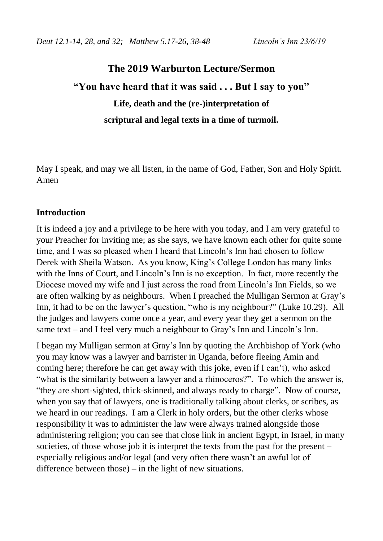# **The 2019 Warburton Lecture/Sermon "You have heard that it was said . . . But I say to you" Life, death and the (re-)interpretation of scriptural and legal texts in a time of turmoil.**

May I speak, and may we all listen, in the name of God, Father, Son and Holy Spirit. Amen

#### **Introduction**

It is indeed a joy and a privilege to be here with you today, and I am very grateful to your Preacher for inviting me; as she says, we have known each other for quite some time, and I was so pleased when I heard that Lincoln's Inn had chosen to follow Derek with Sheila Watson. As you know, King's College London has many links with the Inns of Court, and Lincoln's Inn is no exception. In fact, more recently the Diocese moved my wife and I just across the road from Lincoln's Inn Fields, so we are often walking by as neighbours. When I preached the Mulligan Sermon at Gray's Inn, it had to be on the lawyer's question, "who is my neighbour?" (Luke 10.29). All the judges and lawyers come once a year, and every year they get a sermon on the same text – and I feel very much a neighbour to Gray's Inn and Lincoln's Inn.

I began my Mulligan sermon at Gray's Inn by quoting the Archbishop of York (who you may know was a lawyer and barrister in Uganda, before fleeing Amin and coming here; therefore he can get away with this joke, even if I can't), who asked "what is the similarity between a lawyer and a rhinoceros?". To which the answer is, "they are short-sighted, thick-skinned, and always ready to charge". Now of course, when you say that of lawyers, one is traditionally talking about clerks, or scribes, as we heard in our readings. I am a Clerk in holy orders, but the other clerks whose responsibility it was to administer the law were always trained alongside those administering religion; you can see that close link in ancient Egypt, in Israel, in many societies, of those whose job it is interpret the texts from the past for the present – especially religious and/or legal (and very often there wasn't an awful lot of difference between those) – in the light of new situations.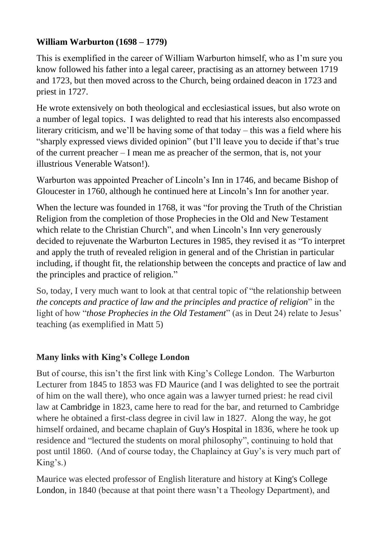## **William Warburton (1698 – 1779)**

This is exemplified in the career of William Warburton himself, who as I'm sure you know followed his father into a legal career, practising as an attorney between 1719 and 1723, but then moved across to the Church, being ordained deacon in 1723 and priest in 1727.

He wrote extensively on both theological and ecclesiastical issues, but also wrote on a number of legal topics. I was delighted to read that his interests also encompassed literary criticism, and we'll be having some of that today – this was a field where his "sharply expressed views divided opinion" (but I'll leave you to decide if that's true of the current preacher – I mean me as preacher of the sermon, that is, not your illustrious Venerable Watson!).

Warburton was appointed Preacher of Lincoln's Inn in 1746, and became Bishop of Gloucester in 1760, although he continued here at Lincoln's Inn for another year.

When the lecture was founded in 1768, it was "for proving the Truth of the Christian Religion from the completion of those Prophecies in the Old and New Testament which relate to the Christian Church", and when Lincoln's Inn very generously decided to rejuvenate the Warburton Lectures in 1985, they revised it as "To interpret and apply the truth of revealed religion in general and of the Christian in particular including, if thought fit, the relationship between the concepts and practice of law and the principles and practice of religion."

So, today, I very much want to look at that central topic of "the relationship between *the concepts and practice of law and the principles and practice of religion*" in the light of how "*those Prophecies in the Old Testament*" (as in Deut 24) relate to Jesus' teaching (as exemplified in Matt 5)

## **Many links with King's College London**

But of course, this isn't the first link with King's College London. The Warburton Lecturer from 1845 to 1853 was FD Maurice (and I was delighted to see the portrait of him on the wall there), who once again was a lawyer turned priest: he read civil law at Cambridge in 1823, came here to read for the bar, and returned to Cambridge where he obtained a first-class degree in civil law in 1827. Along the way, he got himself ordained, and became chaplain of Guy's Hospital in 1836, where he took up residence and "lectured the students on moral philosophy", continuing to hold that post until 1860. (And of course today, the Chaplaincy at Guy's is very much part of King's.)

Maurice was elected professor of English literature and history at King's College London, in 1840 (because at that point there wasn't a Theology Department), and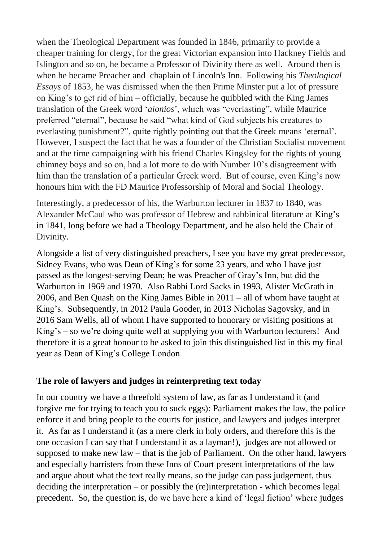when the Theological Department was founded in 1846, primarily to provide a cheaper training for clergy, for the great Victorian expansion into Hackney Fields and Islington and so on, he became a Professor of Divinity there as well. Around then is when he became Preacher and chaplain of Lincoln's Inn. Following his *Theological Essays* of 1853, he was dismissed when the then Prime Minster put a lot of pressure on King's to get rid of him – officially, because he quibbled with the King James translation of the Greek word '*aionios*', which was "everlasting", while Maurice preferred "eternal", because he said "what kind of God subjects his creatures to everlasting punishment?", quite rightly pointing out that the Greek means 'eternal'. However, I suspect the fact that he was a founder of the Christian Socialist movement and at the time campaigning with his friend Charles Kingsley for the rights of young chimney boys and so on, had a lot more to do with Number 10's disagreement with him than the translation of a particular Greek word. But of course, even King's now honours him with the FD Maurice Professorship of Moral and Social Theology.

Interestingly, a predecessor of his, the Warburton lecturer in 1837 to 1840, was Alexander McCaul who was professor of Hebrew and rabbinical literature at King's in 1841, long before we had a Theology Department, and he also held the Chair of Divinity.

Alongside a list of very distinguished preachers, I see you have my great predecessor, Sidney Evans, who was Dean of King's for some 23 years, and who I have just passed as the longest-serving Dean; he was Preacher of Gray's Inn, but did the Warburton in 1969 and 1970. Also Rabbi Lord Sacks in 1993, Alister McGrath in 2006, and Ben Quash on the King James Bible in 2011 – all of whom have taught at King's. Subsequently, in 2012 Paula Gooder, in 2013 Nicholas Sagovsky, and in 2016 Sam Wells, all of whom I have supported to honorary or visiting positions at King's – so we're doing quite well at supplying you with Warburton lecturers! And therefore it is a great honour to be asked to join this distinguished list in this my final year as Dean of King's College London.

#### **The role of lawyers and judges in reinterpreting text today**

In our country we have a threefold system of law, as far as I understand it (and forgive me for trying to teach you to suck eggs): Parliament makes the law, the police enforce it and bring people to the courts for justice, and lawyers and judges interpret it. As far as I understand it (as a mere clerk in holy orders, and therefore this is the one occasion I can say that I understand it as a layman!), judges are not allowed or supposed to make new law – that is the job of Parliament. On the other hand, lawyers and especially barristers from these Inns of Court present interpretations of the law and argue about what the text really means, so the judge can pass judgement, thus deciding the interpretation – or possibly the (re)interpretation - which becomes legal precedent. So, the question is, do we have here a kind of 'legal fiction' where judges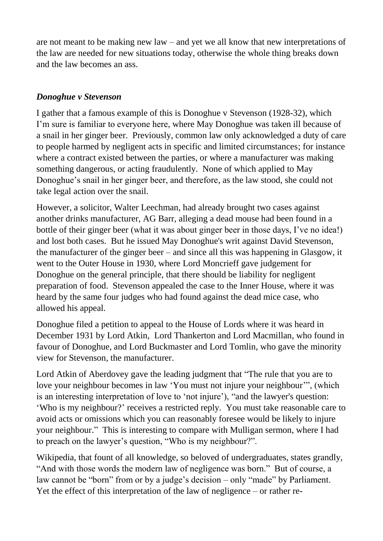are not meant to be making new law – and yet we all know that new interpretations of the law are needed for new situations today, otherwise the whole thing breaks down and the law becomes an ass.

### *Donoghue v Stevenson*

I gather that a famous example of this is Donoghue v Stevenson (1928-32), which I'm sure is familiar to everyone here, where May Donoghue was taken ill because of a snail in her ginger beer. Previously, common law only acknowledged a duty of care to people harmed by negligent acts in specific and limited circumstances; for instance where a contract existed between the parties, or where a manufacturer was making something dangerous, or acting fraudulently. None of which applied to May Donoghue's snail in her ginger beer, and therefore, as the law stood, she could not take legal action over the snail.

However, a solicitor, Walter Leechman, had already brought two cases against another drinks manufacturer, AG Barr, alleging a dead mouse had been found in a bottle of their ginger beer (what it was about ginger beer in those days, I've no idea!) and lost both cases. But he issued May Donoghue's writ against David Stevenson, the manufacturer of the ginger beer – and since all this was happening in Glasgow, it went to the Outer House in 1930, where Lord Moncrieff gave judgement for Donoghue on the general principle, that there should be liability for negligent preparation of [food.](https://en.wikipedia.org/wiki/Food) Stevenson appealed the case to the [Inner House,](https://en.wikipedia.org/wiki/Inner_House) where it was heard by the same four judges who had found against the dead mice case, who allowed his appeal.

Donoghue filed a petition to appeal to the [House of Lords](https://en.wikipedia.org/wiki/Judicial_functions_of_the_House_of_Lords) where it was heard in December 1931 by [Lord Atkin,](https://en.wikipedia.org/wiki/James_Atkin,_Baron_Atkin) [Lord Thankerton](https://en.wikipedia.org/wiki/William_Watson,_Baron_Thankerton) and [Lord Macmillan,](https://en.wikipedia.org/wiki/Hugh_Macmillan,_Baron_Macmillan) who found in favour of Donoghue, and [Lord Buckmaster](https://en.wikipedia.org/wiki/Stanley_Buckmaster,_1st_Viscount_Buckmaster) and [Lord Tomlin,](https://en.wikipedia.org/wiki/Thomas_Tomlin,_Baron_Tomlin) who gave the minority view for Stevenson, the manufacturer.

Lord Atkin of Aberdovey gave the leading judgment that "The rule that you are to love your neighbour becomes in law 'You must not injure your neighbour'", (which is an interesting interpretation of love to 'not injure'), "and the lawyer's question: 'Who is my neighbour?' receives a restricted reply. You must take reasonable care to avoid acts or omissions which you can reasonably foresee would be likely to injure your neighbour." This is interesting to compare with Mulligan sermon, where I had to preach on the lawyer's question, "Who is my neighbour?".

Wikipedia, that fount of all knowledge, so beloved of undergraduates, states grandly, "And with those words the modern law of negligence was born." But of course, a law cannot be "born" from or by a judge's decision – only "made" by Parliament. Yet the effect of this interpretation of the law of negligence – or rather re-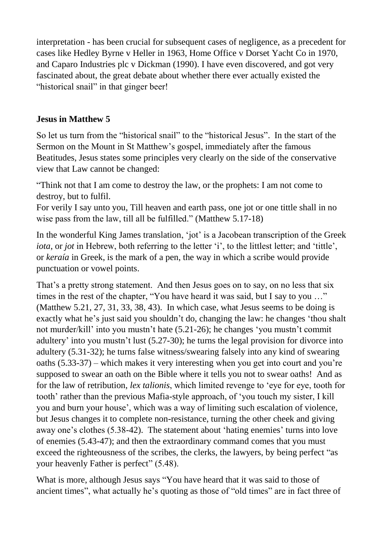interpretation - has been crucial for subsequent cases of negligence, as a precedent for cases like [Hedley Byrne v Heller](https://en.wikipedia.org/wiki/Hedley_Byrne_v_Heller) in 1963, [Home Office v Dorset Yacht Co](https://en.wikipedia.org/wiki/Home_Office_v_Dorset_Yacht_Co) in 1970, and [Caparo Industries plc v Dickman](https://en.wikipedia.org/wiki/Caparo_Industries_plc_v_Dickman) (1990). I have even discovered, and got very fascinated about, the great debate about whether there ever actually existed the "historical snail" in that ginger beer!

#### **Jesus in Matthew 5**

So let us turn from the "historical snail" to the "historical Jesus". In the start of the Sermon on the Mount in St Matthew's gospel, immediately after the famous Beatitudes, Jesus states some principles very clearly on the side of the conservative view that Law cannot be changed:

"Think not that I am come to destroy the law, or the prophets: I am not come to destroy, but to fulfil.

For verily I say unto you, Till heaven and earth pass, one jot or one tittle shall in no wise pass from the law, till all be fulfilled." (Matthew 5.17-18)

In the wonderful King James translation, 'jot' is a Jacobean transcription of the Greek *iota*, or *jot* in Hebrew, both referring to the letter 'i', to the littlest letter; and 'tittle', or *keraía* in Greek, is the mark of a pen, the way in which a scribe would provide punctuation or vowel points.

That's a pretty strong statement. And then Jesus goes on to say, on no less that six times in the rest of the chapter, "You have heard it was said, but I say to you …" (Matthew 5.21, 27, 31, 33, 38, 43). In which case, what Jesus seems to be doing is exactly what he's just said you shouldn't do, changing the law: he changes 'thou shalt not murder/kill' into you mustn't hate (5.21-26); he changes 'you mustn't commit adultery' into you mustn't lust (5.27-30); he turns the legal provision for divorce into adultery (5.31-32); he turns false witness/swearing falsely into any kind of swearing oaths (5.33-37) – which makes it very interesting when you get into court and you're supposed to swear an oath on the Bible where it tells you not to swear oaths! And as for the law of retribution, *lex talionis*, which limited revenge to 'eye for eye, tooth for tooth' rather than the previous Mafia-style approach, of 'you touch my sister, I kill you and burn your house', which was a way of limiting such escalation of violence, but Jesus changes it to complete non-resistance, turning the other cheek and giving away one's clothes (5.38-42). The statement about 'hating enemies' turns into love of enemies (5.43-47); and then the extraordinary command comes that you must exceed the righteousness of the scribes, the clerks, the lawyers, by being perfect "as your heavenly Father is perfect" (5.48).

What is more, although Jesus says "You have heard that it was said to those of ancient times", what actually he's quoting as those of "old times" are in fact three of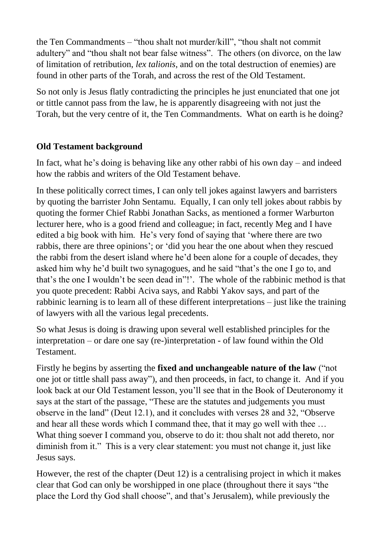the Ten Commandments – "thou shalt not murder/kill", "thou shalt not commit adultery" and "thou shalt not bear false witness". The others (on divorce, on the law of limitation of retribution, *lex talionis*, and on the total destruction of enemies) are found in other parts of the Torah, and across the rest of the Old Testament.

So not only is Jesus flatly contradicting the principles he just enunciated that one jot or tittle cannot pass from the law, he is apparently disagreeing with not just the Torah, but the very centre of it, the Ten Commandments. What on earth is he doing?

## **Old Testament background**

In fact, what he's doing is behaving like any other rabbi of his own day – and indeed how the rabbis and writers of the Old Testament behave.

In these politically correct times, I can only tell jokes against lawyers and barristers by quoting the barrister John Sentamu. Equally, I can only tell jokes about rabbis by quoting the former Chief Rabbi Jonathan Sacks, as mentioned a former Warburton lecturer here, who is a good friend and colleague; in fact, recently Meg and I have edited a big book with him. He's very fond of saying that 'where there are two rabbis, there are three opinions'; or 'did you hear the one about when they rescued the rabbi from the desert island where he'd been alone for a couple of decades, they asked him why he'd built two synagogues, and he said "that's the one I go to, and that's the one I wouldn't be seen dead in"!'. The whole of the rabbinic method is that you quote precedent: Rabbi Aciva says, and Rabbi Yakov says, and part of the rabbinic learning is to learn all of these different interpretations – just like the training of lawyers with all the various legal precedents.

So what Jesus is doing is drawing upon several well established principles for the interpretation – or dare one say (re-)interpretation - of law found within the Old Testament.

Firstly he begins by asserting the **fixed and unchangeable nature of the law** ("not one jot or tittle shall pass away"), and then proceeds, in fact, to change it. And if you look back at our Old Testament lesson, you'll see that in the Book of Deuteronomy it says at the start of the passage, "These are the statutes and judgements you must observe in the land" (Deut 12.1), and it concludes with verses 28 and 32, "Observe and hear all these words which I command thee, that it may go well with thee … What thing soever I command you, observe to do it: thou shalt not add thereto, nor diminish from it." This is a very clear statement: you must not change it, just like Jesus says.

However, the rest of the chapter (Deut 12) is a centralising project in which it makes clear that God can only be worshipped in one place (throughout there it says "the place the Lord thy God shall choose", and that's Jerusalem), while previously the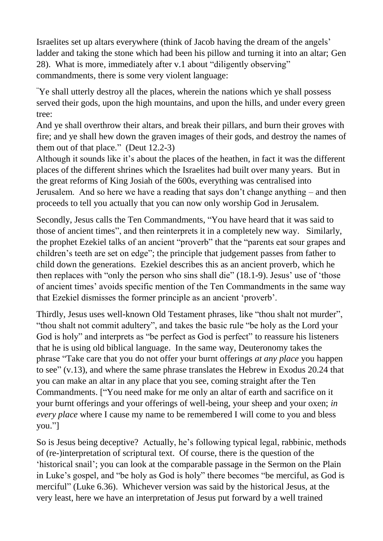Israelites set up altars everywhere (think of Jacob having the dream of the angels' ladder and taking the stone which had been his pillow and turning it into an altar; Gen 28). What is more, immediately after v.1 about "diligently observing" commandments, there is some very violent language:

"Ye shall utterly destroy all the places, wherein the nations which ye shall possess served their gods, upon the high mountains, and upon the hills, and under every green tree:

And ye shall overthrow their altars, and break their pillars, and burn their groves with fire; and ye shall hew down the graven images of their gods, and destroy the names of them out of that place." (Deut 12.2-3)

Although it sounds like it's about the places of the heathen, in fact it was the different places of the different shrines which the Israelites had built over many years. But in the great reforms of King Josiah of the 600s, everything was centralised into Jerusalem. And so here we have a reading that says don't change anything – and then proceeds to tell you actually that you can now only worship God in Jerusalem.

Secondly, Jesus calls the Ten Commandments, "You have heard that it was said to those of ancient times", and then reinterprets it in a completely new way. Similarly, the prophet Ezekiel talks of an ancient "proverb" that the "parents eat sour grapes and children's teeth are set on edge"; the principle that judgement passes from father to child down the generations. Ezekiel describes this as an ancient proverb, which he then replaces with "only the person who sins shall die" (18.1-9). Jesus' use of 'those of ancient times' avoids specific mention of the Ten Commandments in the same way that Ezekiel dismisses the former principle as an ancient 'proverb'.

Thirdly, Jesus uses well-known Old Testament phrases, like "thou shalt not murder", "thou shalt not commit adultery", and takes the basic rule "be holy as the Lord your God is holy" and interprets as "be perfect as God is perfect" to reassure his listeners that he is using old biblical language. In the same way, Deuteronomy takes the phrase "Take care that you do not offer your burnt offerings *at any place* you happen to see" (v.13), and where the same phrase translates the Hebrew in Exodus 20.24 that you can make an altar in any place that you see, coming straight after the Ten Commandments. ["You need make for me only an altar of earth and sacrifice on it your burnt offerings and your offerings of well-being, your sheep and your oxen; *in every place* where I cause my name to be remembered I will come to you and bless you."]

So is Jesus being deceptive? Actually, he's following typical legal, rabbinic, methods of (re-)interpretation of scriptural text. Of course, there is the question of the 'historical snail'; you can look at the comparable passage in the Sermon on the Plain in Luke's gospel, and "be holy as God is holy" there becomes "be merciful, as God is merciful" (Luke 6.36). Whichever version was said by the historical Jesus, at the very least, here we have an interpretation of Jesus put forward by a well trained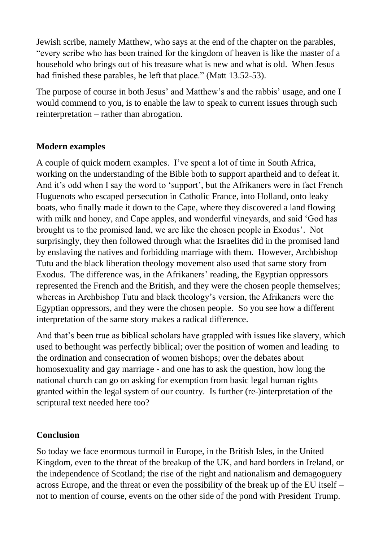Jewish scribe, namely Matthew, who says at the end of the chapter on the parables, "every scribe who has been trained for the kingdom of heaven is like the master of a household who brings out of his treasure what is new and what is old. When Jesus had finished these parables, he left that place." (Matt 13.52-53).

The purpose of course in both Jesus' and Matthew's and the rabbis' usage, and one I would commend to you, is to enable the law to speak to current issues through such reinterpretation – rather than abrogation.

### **Modern examples**

A couple of quick modern examples. I've spent a lot of time in South Africa, working on the understanding of the Bible both to support apartheid and to defeat it. And it's odd when I say the word to 'support', but the Afrikaners were in fact French Huguenots who escaped persecution in Catholic France, into Holland, onto leaky boats, who finally made it down to the Cape, where they discovered a land flowing with milk and honey, and Cape apples, and wonderful vineyards, and said 'God has brought us to the promised land, we are like the chosen people in Exodus'. Not surprisingly, they then followed through what the Israelites did in the promised land by enslaving the natives and forbidding marriage with them. However, Archbishop Tutu and the black liberation theology movement also used that same story from Exodus. The difference was, in the Afrikaners' reading, the Egyptian oppressors represented the French and the British, and they were the chosen people themselves; whereas in Archbishop Tutu and black theology's version, the Afrikaners were the Egyptian oppressors, and they were the chosen people. So you see how a different interpretation of the same story makes a radical difference.

And that's been true as biblical scholars have grappled with issues like slavery, which used to bethought was perfectly biblical; over the position of women and leading to the ordination and consecration of women bishops; over the debates about homosexuality and gay marriage - and one has to ask the question, how long the national church can go on asking for exemption from basic legal human rights granted within the legal system of our country. Is further (re-)interpretation of the scriptural text needed here too?

## **Conclusion**

So today we face enormous turmoil in Europe, in the British Isles, in the United Kingdom, even to the threat of the breakup of the UK, and hard borders in Ireland, or the independence of Scotland; the rise of the right and nationalism and demagoguery across Europe, and the threat or even the possibility of the break up of the EU itself – not to mention of course, events on the other side of the pond with President Trump.